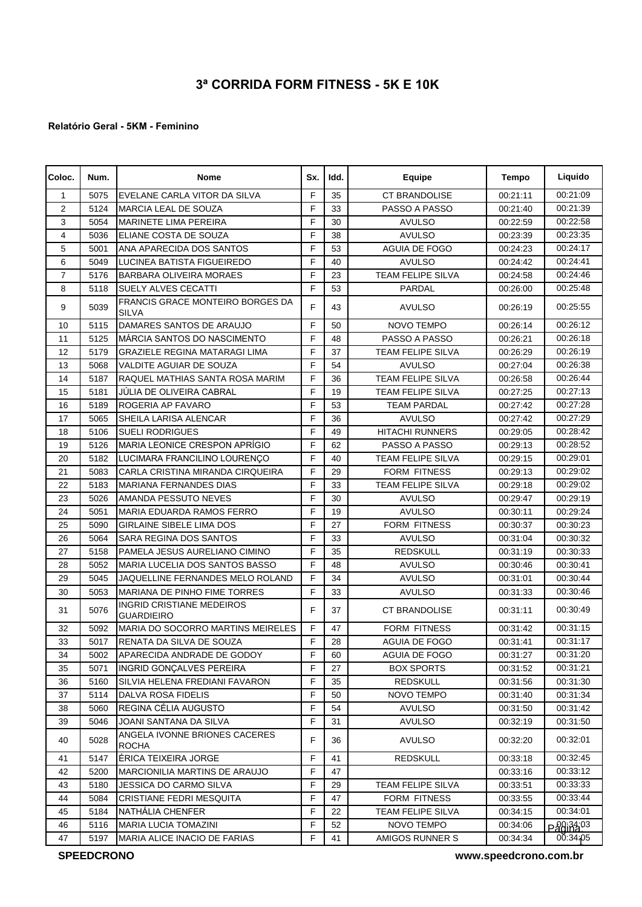## **3ª CORRIDA FORM FITNESS - 5K E 10K**

## **Relatório Geral - 5KM - Feminino**

| Coloc.         | Num. | <b>Nome</b>                                             | Sx. | Idd. | <b>Equipe</b>            | Tempo    | Liquido  |
|----------------|------|---------------------------------------------------------|-----|------|--------------------------|----------|----------|
| 1              | 5075 | EVELANE CARLA VITOR DA SILVA                            | F   | 35   | <b>CT BRANDOLISE</b>     | 00:21:11 | 00:21:09 |
| 2              | 5124 | MARCIA LEAL DE SOUZA                                    | F   | 33   | PASSO A PASSO            | 00:21:40 | 00:21:39 |
| 3              | 5054 | <b>MARINETE LIMA PEREIRA</b>                            | F   | 30   | <b>AVULSO</b>            | 00:22:59 | 00:22:58 |
| 4              | 5036 | ELIANE COSTA DE SOUZA                                   | F   | 38   | <b>AVULSO</b>            | 00:23:39 | 00:23:35 |
| 5              | 5001 | ANA APARECIDA DOS SANTOS                                | F   | 53   | <b>AGUIA DE FOGO</b>     | 00:24:23 | 00:24:17 |
| 6              | 5049 | LUCINEA BATISTA FIGUEIREDO                              | F   | 40   | <b>AVULSO</b>            | 00:24:42 | 00:24:41 |
| $\overline{7}$ | 5176 | <b>BARBARA OLIVEIRA MORAES</b>                          | F   | 23   | <b>TEAM FELIPE SILVA</b> | 00:24:58 | 00:24:46 |
| 8              | 5118 | <b>SUELY ALVES CECATTI</b>                              | F   | 53   | PARDAL                   | 00:26:00 | 00:25:48 |
| 9              | 5039 | <b>FRANCIS GRACE MONTEIRO BORGES DA</b><br><b>SILVA</b> | F   | 43   | <b>AVULSO</b>            | 00:26:19 | 00:25:55 |
| 10             | 5115 | DAMARES SANTOS DE ARAUJO                                | F   | 50   | NOVO TEMPO               | 00:26:14 | 00:26:12 |
| 11             | 5125 | MÁRCIA SANTOS DO NASCIMENTO                             | F   | 48   | PASSO A PASSO            | 00:26:21 | 00:26:18 |
| 12             | 5179 | <b>GRAZIELE REGINA MATARAGI LIMA</b>                    | F   | 37   | <b>TEAM FELIPE SILVA</b> | 00:26:29 | 00:26:19 |
| 13             | 5068 | <b>VALDITE AGUIAR DE SOUZA</b>                          | F   | 54   | <b>AVULSO</b>            | 00:27:04 | 00:26:38 |
| 14             | 5187 | RAQUEL MATHIAS SANTA ROSA MARIM                         | F   | 36   | <b>TEAM FELIPE SILVA</b> | 00:26:58 | 00:26:44 |
| 15             | 5181 | JÚLIA DE OLIVEIRA CABRAL                                | F   | 19   | <b>TEAM FELIPE SILVA</b> | 00:27:25 | 00:27:13 |
| 16             | 5189 | ROGERIA AP FAVARO                                       | F   | 53   | <b>TEAM PARDAL</b>       | 00:27:42 | 00:27:28 |
| 17             | 5065 | SHEILA LARISA ALENCAR                                   | F   | 36   | <b>AVULSO</b>            | 00:27:42 | 00:27:29 |
| 18             | 5106 | <b>SUELI RODRIGUES</b>                                  | F   | 49   | <b>HITACHI RUNNERS</b>   | 00:29:05 | 00:28:42 |
| 19             | 5126 | <b>MARIA LEONICE CRESPON APRÍGIO</b>                    | F   | 62   | PASSO A PASSO            | 00:29:13 | 00:28:52 |
| 20             | 5182 | LUCIMARA FRANCILINO LOURENÇO                            | F   | 40   | <b>TEAM FELIPE SILVA</b> | 00:29:15 | 00:29:01 |
| 21             | 5083 | CARLA CRISTINA MIRANDA CIRQUEIRA                        | F   | 29   | <b>FORM FITNESS</b>      | 00:29:13 | 00:29:02 |
| 22             | 5183 | MARIANA FERNANDES DIAS                                  | F   | 33   | <b>TEAM FELIPE SILVA</b> | 00:29:18 | 00:29:02 |
| 23             | 5026 | AMANDA PESSUTO NEVES                                    | F   | 30   | <b>AVULSO</b>            | 00:29:47 | 00:29:19 |
| 24             | 5051 | MARIA EDUARDA RAMOS FERRO                               | F   | 19   | <b>AVULSO</b>            | 00:30:11 | 00:29:24 |
| 25             | 5090 | <b>GIRLAINE SIBELE LIMA DOS</b>                         | F   | 27   | <b>FORM FITNESS</b>      | 00:30:37 | 00:30:23 |
| 26             | 5064 | SARA REGINA DOS SANTOS                                  | F   | 33   | <b>AVULSO</b>            | 00:31:04 | 00:30:32 |
| 27             | 5158 | PAMELA JESUS AURELIANO CIMINO                           | F   | 35   | <b>REDSKULL</b>          | 00:31:19 | 00:30:33 |
| 28             | 5052 | MARIA LUCELIA DOS SANTOS BASSO                          | F   | 48   | <b>AVULSO</b>            | 00:30:46 | 00:30:41 |
| 29             | 5045 | JAQUELLINE FERNANDES MELO ROLAND                        | F   | 34   | <b>AVULSO</b>            | 00:31:01 | 00:30:44 |
| 30             | 5053 | MARIANA DE PINHO FIME TORRES                            | F   | 33   | <b>AVULSO</b>            | 00:31:33 | 00:30:46 |
| 31             | 5076 | <b>INGRID CRISTIANE MEDEIROS</b><br><b>GUARDIEIRO</b>   | F.  | 37   | <b>CT BRANDOLISE</b>     | 00:31:11 | 00:30:49 |
| 32             | 5092 | <b>MARIA DO SOCORRO MARTINS MEIRELES</b>                | F   | 47   | <b>FORM FITNESS</b>      | 00:31:42 | 00:31:15 |
| 33             | 5017 | RENATA DA SILVA DE SOUZA                                | F   | 28   | AGUIA DE FOGO            | 00:31:41 | 00:31:17 |
| 34             | 5002 | APARECIDA ANDRADE DE GODOY                              | F   | 60   | AGUIA DE FOGO            | 00:31:27 | 00:31:20 |
| 35             | 5071 | <b>INGRID GONÇALVES PEREIRA</b>                         | F   | 27   | <b>BOX SPORTS</b>        | 00:31:52 | 00:31:21 |
| 36             | 5160 | SILVIA HELENA FREDIANI FAVARON                          | F   | 35   | <b>REDSKULL</b>          | 00:31:56 | 00:31:30 |
| 37             | 5114 | DALVA ROSA FIDELIS                                      | F   | 50   | NOVO TEMPO               | 00:31:40 | 00:31:34 |
| 38             | 5060 | REGINA CÉLIA AUGUSTO                                    | F   | 54   | <b>AVULSO</b>            | 00:31:50 | 00:31:42 |
| 39             | 5046 | JOANI SANTANA DA SILVA                                  | F   | 31   | <b>AVULSO</b>            | 00:32:19 | 00:31:50 |
| 40             | 5028 | ANGELA IVONNE BRIONES CACERES<br><b>ROCHA</b>           | F   | 36   | <b>AVULSO</b>            | 00:32:20 | 00:32:01 |
| 41             | 5147 | ÉRICA TEIXEIRA JORGE                                    | F   | 41   | <b>REDSKULL</b>          | 00:33:18 | 00:32:45 |
| 42             | 5200 | <b>MARCIONILIA MARTINS DE ARAUJO</b>                    | F   | 47   |                          | 00:33:16 | 00:33:12 |
| 43             | 5180 | JESSICA DO CARMO SILVA                                  | F   | 29   | TEAM FELIPE SILVA        | 00:33:51 | 00:33:33 |
| 44             | 5084 | CRISTIANE FEDRI MESQUITA                                | F   | 47   | <b>FORM FITNESS</b>      | 00:33:55 | 00:33:44 |
| 45             | 5184 | NATHÁLIA CHENFER                                        | F   | 22   | <b>TEAM FELIPE SILVA</b> | 00:34:15 | 00:34:01 |
| 46             | 5116 | <b>MARIA LUCIA TOMAZINI</b>                             | F   | 52   | NOVO TEMPO               | 00:34:06 | P2813403 |
| 47             | 5197 | MARIA ALICE INACIO DE FARIAS                            | F   | 41   | AMIGOS RUNNER S          | 00:34:34 | 00:34.05 |

**SPEEDCRONO** 

**www.speedcrono.com.br**